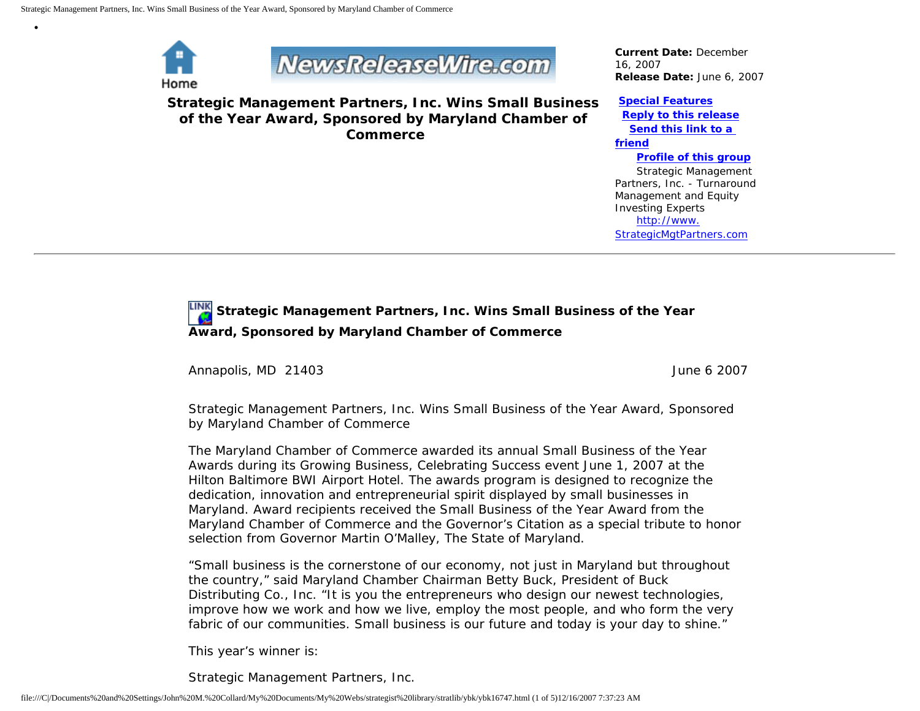

•

## **NewsReleaseWire.com**

**Strategic Management Partners, Inc. Wins Small Business of the Year Award, Sponsored by Maryland Chamber of Commerce**

*Current Date:* December 16, 2007 *Release Date:* June 6, 2007

## **[Special Features](javascript:openlittleme() [Reply to this release](file:///C|/Documents%20and%20Settings/John%20M.%20Collard/My%20Documents/My%20Webs/strategist%20library/stratlib/ybk/default.cfm?Action=ReplyRelease&Id=16747) [Send this link to a](file:///C|/Documents%20and%20Settings/John%20M.%20Collard/My%20Documents/My%20Webs/strategist%20library/stratlib/ybk/default.cfm?Action=SendLink&SendId=16747)  [friend](file:///C|/Documents%20and%20Settings/John%20M.%20Collard/My%20Documents/My%20Webs/strategist%20library/stratlib/ybk/default.cfm?Action=SendLink&SendId=16747)**

 **[Profile of this group](file:///C|/Documents%20and%20Settings/John%20M.%20Collard/My%20Documents/My%20Webs/strategist%20library/stratlib/ybk/default.cfm?Action=Profile&ProfileId=623)** Strategic Management Partners, Inc. - Turnaround Management and Equity Investing Experts [http://www.](http://www.strategicmgtpartners.com/) [StrategicMgtPartners.com](http://www.strategicmgtpartners.com/)

## **Strategic Management Partners, Inc. Wins Small Business of the Year Award, Sponsored by Maryland Chamber of Commerce**

Annapolis, MD 21403 June 6 2007

Strategic Management Partners, Inc. Wins Small Business of the Year Award, Sponsored by Maryland Chamber of Commerce

The Maryland Chamber of Commerce awarded its annual Small Business of the Year Awards during its Growing Business, Celebrating Success event June 1, 2007 at the Hilton Baltimore BWI Airport Hotel. The awards program is designed to recognize the dedication, innovation and entrepreneurial spirit displayed by small businesses in Maryland. Award recipients received the Small Business of the Year Award from the Maryland Chamber of Commerce and the Governor's Citation as a special tribute to honor selection from Governor Martin O'Malley, The State of Maryland.

"Small business is the cornerstone of our economy, not just in Maryland but throughout the country," said Maryland Chamber Chairman Betty Buck, President of Buck Distributing Co., Inc. "It is you the entrepreneurs who design our newest technologies, improve how we work and how we live, employ the most people, and who form the very fabric of our communities. Small business is our future and today is your day to shine."

This year's winner is:

Strategic Management Partners, Inc.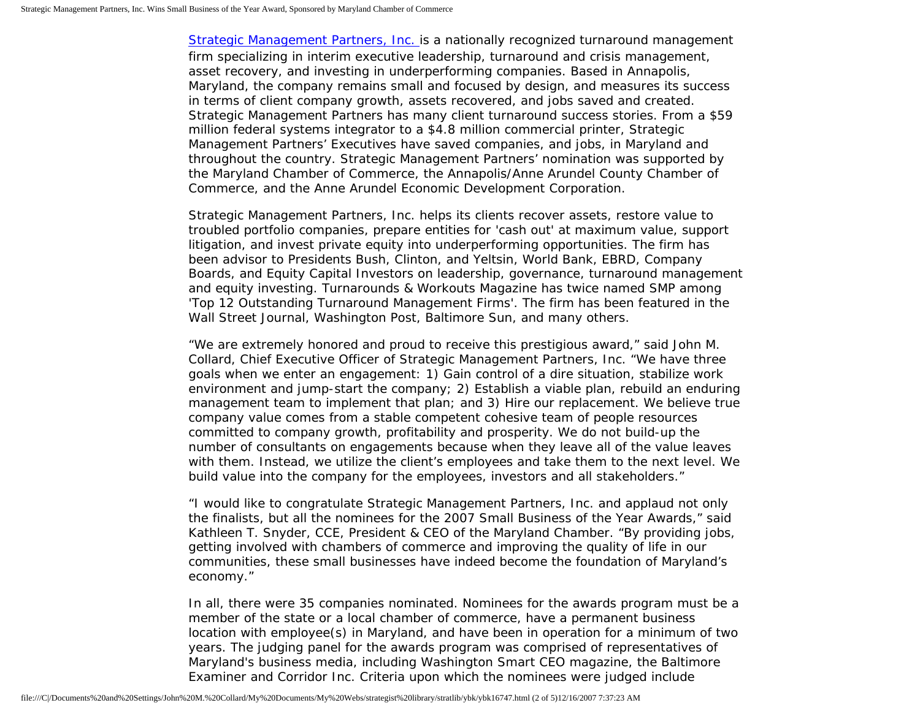[Strategic Management Partners, Inc.](http://www.strategicmgtpartners.com/) is a nationally recognized turnaround management firm specializing in interim executive leadership, turnaround and crisis management, asset recovery, and investing in underperforming companies. Based in Annapolis, Maryland, the company remains small and focused by design, and measures its success in terms of client company growth, assets recovered, and jobs saved and created. Strategic Management Partners has many client turnaround success stories. From a \$59 million federal systems integrator to a \$4.8 million commercial printer, Strategic Management Partners' Executives have saved companies, and jobs, in Maryland and throughout the country. Strategic Management Partners' nomination was supported by the Maryland Chamber of Commerce, the Annapolis/Anne Arundel County Chamber of Commerce, and the Anne Arundel Economic Development Corporation.

Strategic Management Partners, Inc. helps its clients recover assets, restore value to troubled portfolio companies, prepare entities for 'cash out' at maximum value, support litigation, and invest private equity into underperforming opportunities. The firm has been advisor to Presidents Bush, Clinton, and Yeltsin, World Bank, EBRD, Company Boards, and Equity Capital Investors on leadership, governance, turnaround management and equity investing. Turnarounds & Workouts Magazine has twice named SMP among 'Top 12 Outstanding Turnaround Management Firms'. The firm has been featured in the Wall Street Journal, Washington Post, Baltimore Sun, and many others.

"We are extremely honored and proud to receive this prestigious award," said John M. Collard, Chief Executive Officer of Strategic Management Partners, Inc. "We have three goals when we enter an engagement: 1) Gain control of a dire situation, stabilize work environment and jump-start the company; 2) Establish a viable plan, rebuild an enduring management team to implement that plan; and 3) Hire our replacement. We believe true company value comes from a stable competent cohesive team of people resources committed to company growth, profitability and prosperity. We do not build-up the number of consultants on engagements because when they leave all of the value leaves with them. Instead, we utilize the client's employees and take them to the next level. We build value into the company for the employees, investors and all stakeholders."

"I would like to congratulate Strategic Management Partners, Inc. and applaud not only the finalists, but all the nominees for the 2007 Small Business of the Year Awards," said Kathleen T. Snyder, CCE, President & CEO of the Maryland Chamber. "By providing jobs, getting involved with chambers of commerce and improving the quality of life in our communities, these small businesses have indeed become the foundation of Maryland's economy."

In all, there were 35 companies nominated. Nominees for the awards program must be a member of the state or a local chamber of commerce, have a permanent business location with employee(s) in Maryland, and have been in operation for a minimum of two years. The judging panel for the awards program was comprised of representatives of Maryland's business media, including Washington Smart CEO magazine, the Baltimore Examiner and Corridor Inc. Criteria upon which the nominees were judged include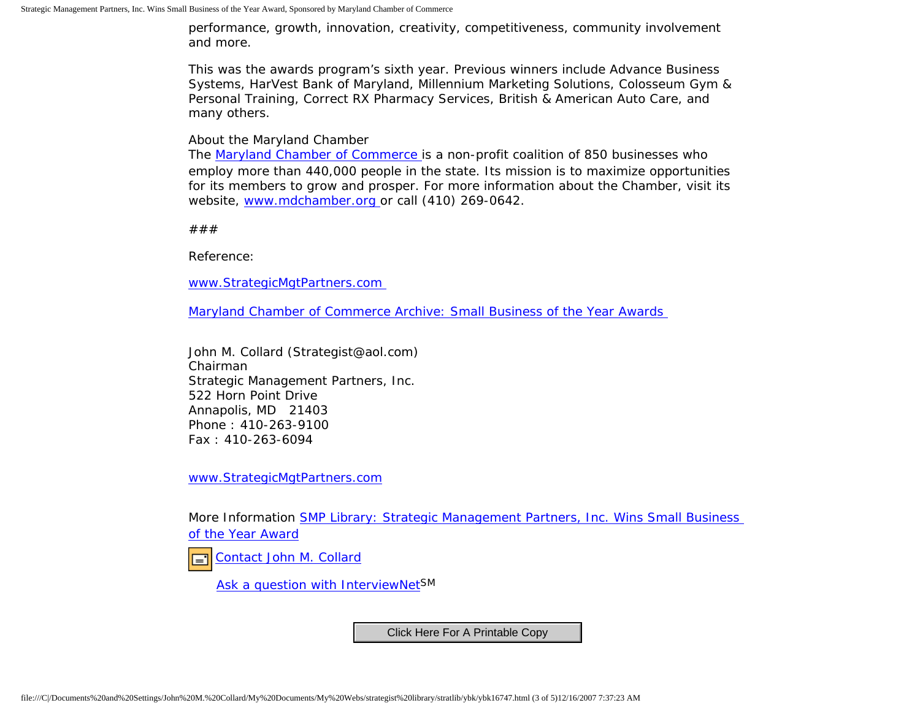performance, growth, innovation, creativity, competitiveness, community involvement and more.

This was the awards program's sixth year. Previous winners include Advance Business Systems, HarVest Bank of Maryland, Millennium Marketing Solutions, Colosseum Gym & Personal Training, Correct RX Pharmacy Services, British & American Auto Care, and many others.

About the Maryland Chamber

The [Maryland Chamber of Commerce](http://www.mdchamber.org/) is a non-profit coalition of 850 businesses who employ more than 440,000 people in the state. Its mission is to maximize opportunities for its members to grow and prosper. For more information about the Chamber, visit its website, [www.mdchamber.org](http://www.mdchamber.org/) or call (410) 269-0642.

###

Reference:

[www.StrategicMgtPartners.com](http://www.strategicmgtpartners.com/)

[Maryland Chamber of Commerce Archive: Small Business of the Year Awards](http://www.mdchamber.org/news/07sboty.asp)

John M. Collard (Strategist@aol.com) Chairman Strategic Management Partners, Inc. 522 Horn Point Drive Annapolis, MD 21403 Phone : 410-263-9100 Fax : 410-263-6094

[www.StrategicMgtPartners.com](http://www.strategicmgtpartners.com/)

More Information [SMP Library: Strategic Management Partners, Inc. Wins Small Business](http://members.aol.com/stratlib3/mccsbyr.html)  [of the Year Award](http://members.aol.com/stratlib3/mccsbyr.html)

[Contact John M. Collard](http://www.expertclick.com/expertClick/contact/default.cfm?Action=ContactExpert&GroupID=1016) 口

[Ask a question with InterviewNetS](http://www.expertclick.com/expertClick/contact/default.cfm?GroupID=1016)M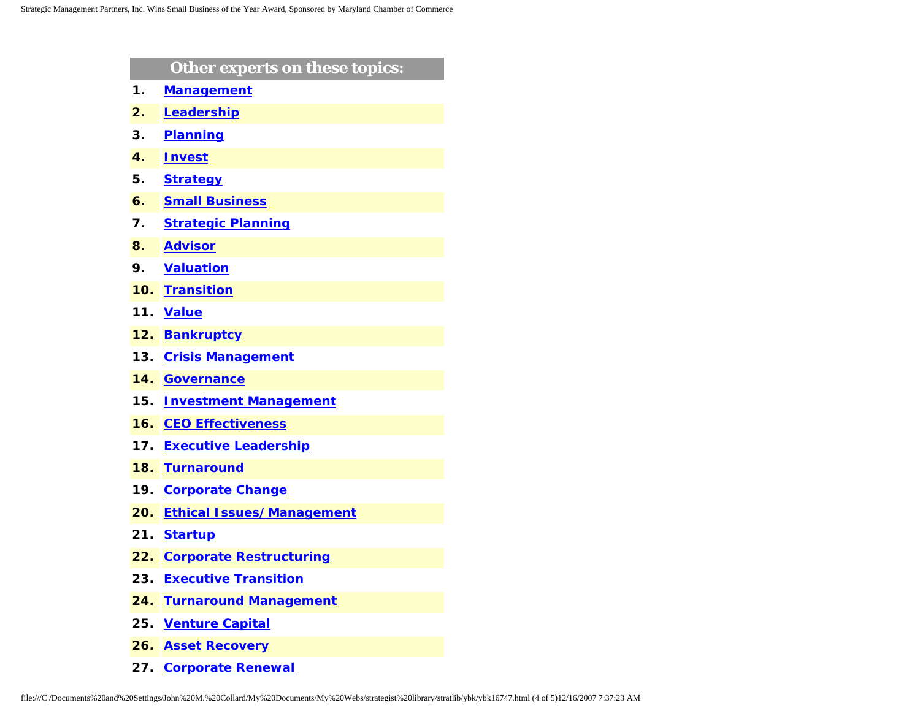|     | Other experts on these topics:   |
|-----|----------------------------------|
| 1.  | <b>Management</b>                |
| 2.  | Leadership                       |
| 3.  | <b>Planning</b>                  |
| 4.  | <b>Invest</b>                    |
| 5.  | <b>Strategy</b>                  |
| 6.  | <b>Small Business</b>            |
| 7.  | <b>Strategic Planning</b>        |
| 8.  | <b>Advisor</b>                   |
| 9.  | <b>Valuation</b>                 |
| 10. | <b>Transition</b>                |
| 11. | <b>Value</b>                     |
| 12. | <b>Bankruptcy</b>                |
| 13. | <b>Crisis Management</b>         |
| 14. | <b>Governance</b>                |
| 15. | <b>Investment Management</b>     |
| 16. | <b>CEO Effectiveness</b>         |
| 17. | <b>Executive Leadership</b>      |
| 18. | <b>Turnaround</b>                |
| 19. | <b>Corporate Change</b>          |
| 20. | <b>Ethical Issues/Management</b> |
| 21. | <b>Startup</b>                   |
| 22. | <b>Corporate Restructuring</b>   |
| 23. | <b>Executive Transition</b>      |
| 24. | <b>Turnaround Management</b>     |
| 25. | <b>Venture Capital</b>           |
| 26. | <b>Asset Recovery</b>            |

**27. [Corporate Renewal](http://www.expertclick.com/search/default.cfm?SearchCriteria=Corporate Renewal)**